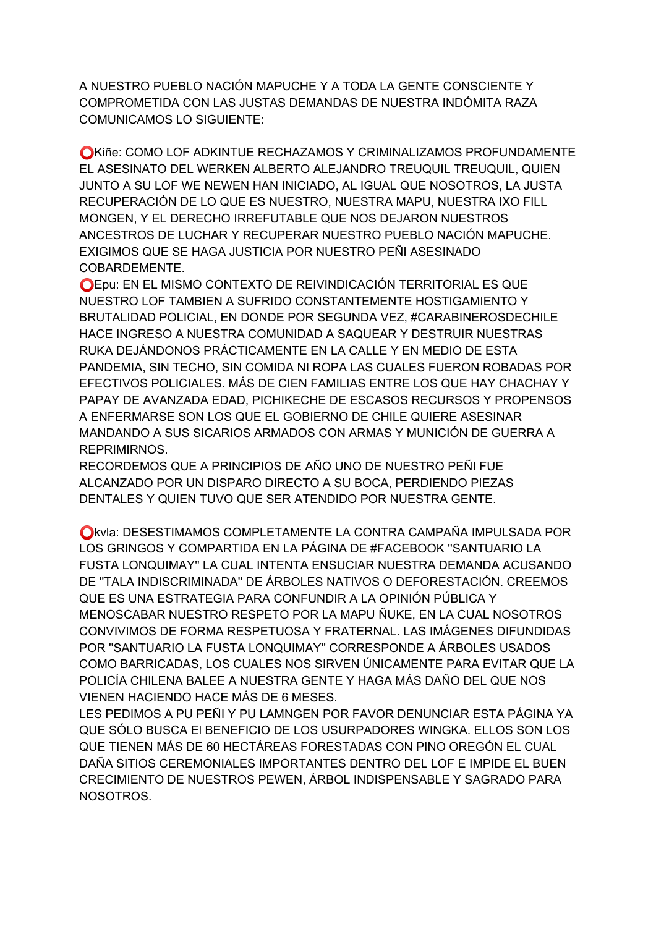A NUESTRO PUEBLO NACIÓN MAPUCHE Y A TODA LA GENTE CONSCIENTE Y COMPROMETIDA CON LAS JUSTAS DEMANDAS DE NUESTRA INDÓMITA RAZA **COMUNICAMOS LO SIGUIENTE:** 

OKIñe: COMO LOF ADKINTUE RECHAZAMOS Y CRIMINALIZAMOS PROFUNDAMENTE EL ASESINATO DEL WERKEN ALBERTO ALEJANDRO TREUQUIL TREUQUIL, QUIEN JUNTO A SU LOF WE NEWEN HAN INICIADO, AL IGUAL QUE NOSOTROS, LA JUSTA RECUPERACIÓN DE LO QUE ES NUESTRO, NUESTRA MAPU, NUESTRA IXO FILL MONGEN, Y EL DERECHO IRREFUTABLE QUE NOS DEJARON NUESTROS ANCESTROS DE LUCHAR Y RECUPERAR NUESTRO PUEBLO NACIÓN MAPUCHE. EXIGIMOS QUE SE HAGA JUSTICIA POR NUESTRO PEÑI ASESINADO COBARDEMENTE.

OEpu: EN EL MISMO CONTEXTO DE REIVINDICACIÓN TERRITORIAL ES QUE NUESTRO LOF TAMBIEN A SUFRIDO CONSTANTEMENTE HOSTIGAMIENTO Y BRUTALIDAD POLICIAL, EN DONDE POR SEGUNDA VEZ, #CARABINEROSDECHILE HACE INGRESO A NUESTRA COMUNIDAD A SAQUEAR Y DESTRUIR NUESTRAS RUKA DEJÁNDONOS PRÁCTICAMENTE EN LA CALLE Y EN MEDIO DE ESTA PANDEMIA, SIN TECHO, SIN COMIDA NI ROPA LAS CUALES FUERON ROBADAS POR EFECTIVOS POLICIALES. MÁS DE CIEN FAMILIAS ENTRE LOS QUE HAY CHACHAY Y PAPAY DE AVANZADA EDAD, PICHIKECHE DE ESCASOS RECURSOS Y PROPENSOS A ENFERMARSE SON LOS QUE EL GOBIERNO DE CHILE QUIERE ASESINAR MANDANDO A SUS SICARIOS ARMADOS CON ARMAS Y MUNICIÓN DE GUERRA A REPRIMIRNOS.

RECORDEMOS QUE A PRINCIPIOS DE AÑO UNO DE NUESTRO PEÑI FUE ALCANZADO POR UN DISPARO DIRECTO A SU BOCA, PERDIENDO PIEZAS DENTALES Y QUIEN TUVO QUE SER ATENDIDO POR NUESTRA GENTE.

Okvia: DESESTIMAMOS COMPLETAMENTE LA CONTRA CAMPAÑA IMPULSADA POR LOS GRINGOS Y COMPARTIDA EN LA PÁGINA DE #FACEBOOK "SANTUARIO LA FUSTA LONQUIMAY" LA CUAL INTENTA ENSUCIAR NUESTRA DEMANDA ACUSANDO DE "TALA INDISCRIMINADA" DE ÁRBOLES NATIVOS O DEFORESTACIÓN. CREEMOS QUE ES UNA ESTRATEGIA PARA CONFUNDIR A LA OPINIÓN PÚBLICA Y MENOSCABAR NUESTRO RESPETO POR LA MAPU ÑUKE, EN LA CUAL NOSOTROS CONVIVIMOS DE FORMA RESPETUOSA Y FRATERNAL. LAS IMÁGENES DIFUNDIDAS POR "SANTUARIO LA FUSTA LONQUIMAY" CORRESPONDE A ÁRBOLES USADOS COMO BARRICADAS, LOS CUALES NOS SIRVEN ÚNICAMENTE PARA EVITAR QUE LA POLICÍA CHILENA BALEE A NUESTRA GENTE Y HAGA MÁS DAÑO DEL QUE NOS VIENEN HACIENDO HACE MÁS DE 6 MESES.

LES PEDIMOS A PU PEÑI Y PU LAMNGEN POR FAVOR DENUNCIAR ESTA PÁGINA YA QUE SÓLO BUSCA EI BENEFICIO DE LOS USURPADORES WINGKA. ELLOS SON LOS QUE TIENEN MÁS DE 60 HECTÁREAS FORESTADAS CON PINO OREGÓN EL CUAL DAÑA SITIOS CEREMONIALES IMPORTANTES DENTRO DEL LOF E IMPIDE EL BUEN CRECIMIENTO DE NUESTROS PEWEN, ÁRBOL INDISPENSABLE Y SAGRADO PARA NOSOTROS.